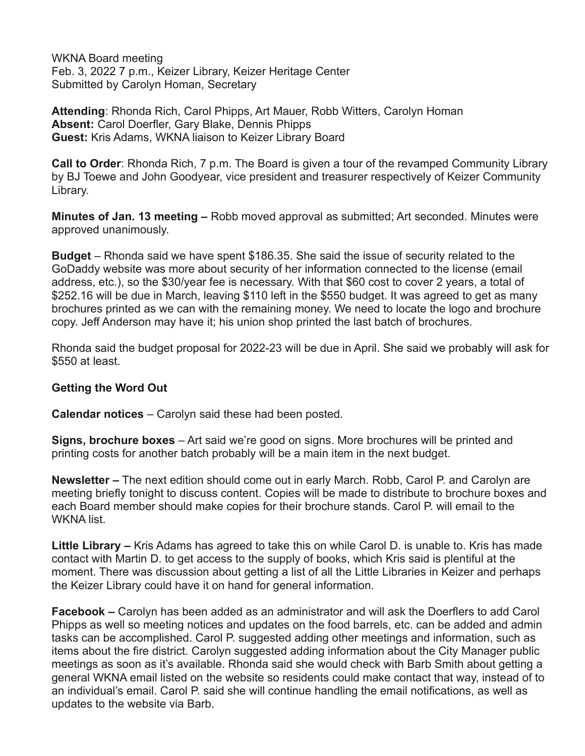WKNA Board meeting Feb. 3, 2022 7 p.m., Keizer Library, Keizer Heritage Center Submitted by Carolyn Homan, Secretary

**Attending**: Rhonda Rich, Carol Phipps, Art Mauer, Robb Witters, Carolyn Homan **Absent:** Carol Doerfler, Gary Blake, Dennis Phipps **Guest:** Kris Adams, WKNA liaison to Keizer Library Board

**Call to Order**: Rhonda Rich, 7 p.m. The Board is given a tour of the revamped Community Library by BJ Toewe and John Goodyear, vice president and treasurer respectively of Keizer Community Library.

**Minutes of Jan. 13 meeting –** Robb moved approval as submitted; Art seconded. Minutes were approved unanimously.

**Budget** – Rhonda said we have spent \$186.35. She said the issue of security related to the GoDaddy website was more about security of her information connected to the license (email address, etc.), so the \$30/year fee is necessary. With that \$60 cost to cover 2 years, a total of \$252.16 will be due in March, leaving \$110 left in the \$550 budget. It was agreed to get as many brochures printed as we can with the remaining money. We need to locate the logo and brochure copy. Jeff Anderson may have it; his union shop printed the last batch of brochures.

Rhonda said the budget proposal for 2022-23 will be due in April. She said we probably will ask for \$550 at least.

## **Getting the Word Out**

**Calendar notices** – Carolyn said these had been posted.

**Signs, brochure boxes** – Art said we're good on signs. More brochures will be printed and printing costs for another batch probably will be a main item in the next budget.

**Newsletter –** The next edition should come out in early March. Robb, Carol P. and Carolyn are meeting briefly tonight to discuss content. Copies will be made to distribute to brochure boxes and each Board member should make copies for their brochure stands. Carol P. will email to the WKNA list.

**Little Library –** Kris Adams has agreed to take this on while Carol D. is unable to. Kris has made contact with Martin D. to get access to the supply of books, which Kris said is plentiful at the moment. There was discussion about getting a list of all the Little Libraries in Keizer and perhaps the Keizer Library could have it on hand for general information.

**Facebook –** Carolyn has been added as an administrator and will ask the Doerflers to add Carol Phipps as well so meeting notices and updates on the food barrels, etc. can be added and admin tasks can be accomplished. Carol P. suggested adding other meetings and information, such as items about the fire district. Carolyn suggested adding information about the City Manager public meetings as soon as it's available. Rhonda said she would check with Barb Smith about getting a general WKNA email listed on the website so residents could make contact that way, instead of to an individual's email. Carol P. said she will continue handling the email notifications, as well as updates to the website via Barb.